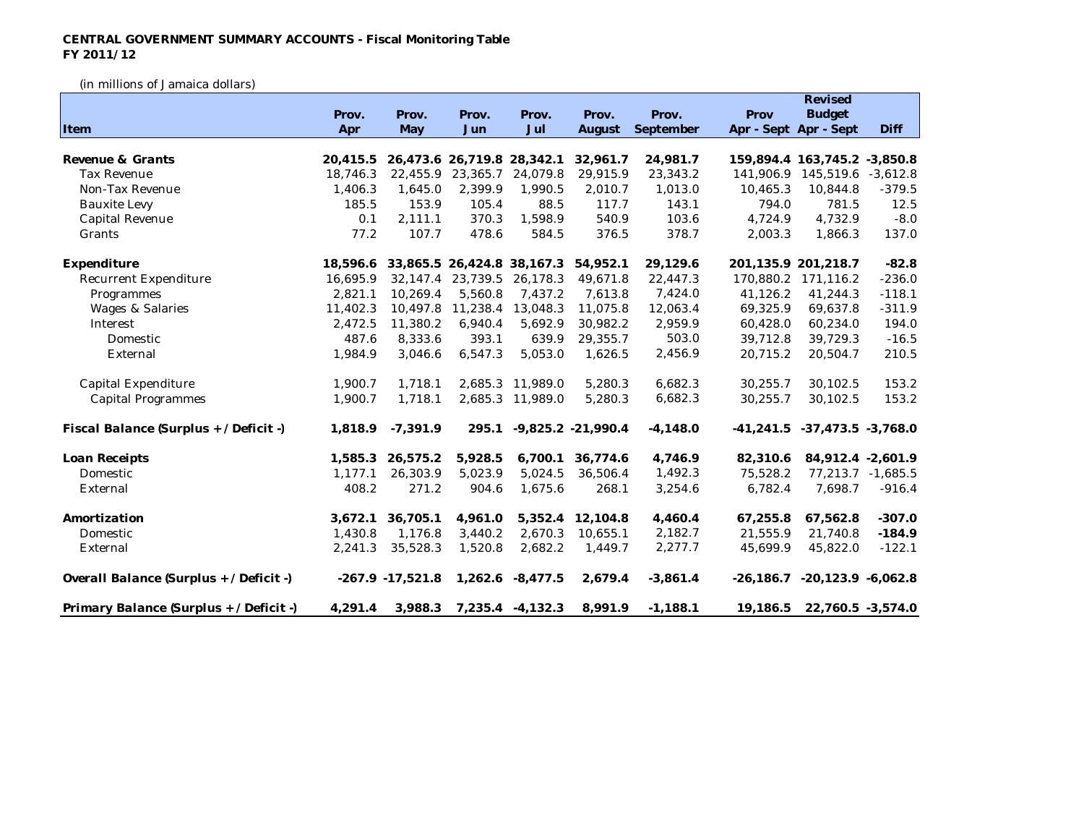## **CENTRAL GOVERNMENT SUMMARY ACCOUNTS - Fiscal Monitoring Table FY 2011/12**

(in millions of Jamaica dollars)

|                                         |          |                     |                     |                            |                      |            |             | Revised                            |                   |
|-----------------------------------------|----------|---------------------|---------------------|----------------------------|----------------------|------------|-------------|------------------------------------|-------------------|
|                                         | Prov.    | Prov.               | Prov.               | Prov.                      | Prov.                | Prov.      | Prov        | <b>Budget</b>                      |                   |
| Item                                    | Apr      | May                 | Jun                 | Jul                        | August               | September  |             | Apr - Sept Apr - Sept              | Diff              |
|                                         |          |                     |                     |                            |                      |            |             |                                    |                   |
| Revenue & Grants                        | 20,415.5 |                     |                     | 26,473.6 26,719.8 28,342.1 | 32,961.7             | 24,981.7   |             | 159,894.4 163,745.2 -3,850.8       |                   |
| <b>Tax Revenue</b>                      | 18,746.3 | 22,455.9            | 23,365.7            | 24.079.8                   | 29,915.9             | 23,343.2   | 141,906.9   | 145,519.6 -3,612.8                 |                   |
| Non-Tax Revenue                         | 1,406.3  | 1,645.0             | 2,399.9             | 1,990.5                    | 2,010.7              | 1,013.0    | 10,465.3    | 10,844.8                           | $-379.5$          |
| <b>Bauxite Levy</b>                     | 185.5    | 153.9               | 105.4               | 88.5                       | 117.7                | 143.1      | 794.0       | 781.5                              | 12.5              |
| Capital Revenue                         | 0.1      | 2,111.1             | 370.3               | 1,598.9                    | 540.9                | 103.6      | 4,724.9     | 4,732.9                            | $-8.0$            |
| Grants                                  | 77.2     | 107.7               | 478.6               | 584.5                      | 376.5                | 378.7      | 2,003.3     | 1,866.3                            | 137.0             |
| Expenditure                             | 18.596.6 |                     |                     | 33,865.5 26,424.8 38,167.3 | 54,952.1             | 29,129.6   |             | 201,135.9 201,218.7                | $-82.8$           |
| Recurrent Expenditure                   | 16,695.9 |                     | 32, 147.4 23, 739.5 | 26,178.3                   | 49,671.8             | 22,447.3   | 170,880.2   | 171,116.2                          | $-236.0$          |
| Programmes                              | 2,821.1  | 10,269.4            | 5,560.8             | 7,437.2                    | 7,613.8              | 7,424.0    | 41,126.2    | 41,244.3                           | $-118.1$          |
| <b>Wages &amp; Salaries</b>             | 11,402.3 | 10,497.8            | 11,238.4            | 13,048.3                   | 11,075.8             | 12,063.4   | 69,325.9    | 69,637.8                           | $-311.9$          |
| Interest                                | 2,472.5  | 11,380.2            | 6,940.4             | 5,692.9                    | 30,982.2             | 2,959.9    | 60,428.0    | 60,234.0                           | 194.0             |
| Domestic                                | 487.6    | 8,333.6             | 393.1               | 639.9                      | 29,355.7             | 503.0      | 39,712.8    | 39,729.3                           | $-16.5$           |
| External                                | 1,984.9  | 3,046.6             | 6,547.3             | 5,053.0                    | 1,626.5              | 2,456.9    | 20,715.2    | 20,504.7                           | 210.5             |
| Capital Expenditure                     | 1,900.7  | 1,718.1             |                     | 2,685.3 11,989.0           | 5,280.3              | 6,682.3    | 30,255.7    | 30,102.5                           | 153.2             |
| <b>Capital Programmes</b>               | 1,900.7  | 1,718.1             |                     | 2,685.3 11,989.0           | 5,280.3              | 6,682.3    | 30,255.7    | 30,102.5                           | 153.2             |
| Fiscal Balance (Surplus + / Deficit -)  | 1,818.9  | $-7,391.9$          | 295.1               |                            | $-9,825.2 -21,990.4$ | $-4,148.0$ | $-41,241.5$ | $-37,473.5$ $-3,768.0$             |                   |
| Loan Receipts                           | 1,585.3  | 26,575.2            | 5,928.5             | 6,700.1                    | 36,774.6             | 4,746.9    | 82,310.6    | 84,912.4 -2,601.9                  |                   |
| Domestic                                | 1,177.1  | 26,303.9            | 5,023.9             | 5,024.5                    | 36,506.4             | 1,492.3    | 75,528.2    |                                    | 77,213.7 -1,685.5 |
| External                                | 408.2    | 271.2               | 904.6               | 1,675.6                    | 268.1                | 3,254.6    | 6,782.4     | 7,698.7                            | $-916.4$          |
| Amortization                            | 3.672.1  | 36,705.1            | 4,961.0             | 5.352.4                    | 12,104.8             | 4,460.4    | 67,255.8    | 67,562.8                           | $-307.0$          |
| Domestic                                | 1,430.8  | 1,176.8             | 3,440.2             | 2,670.3                    | 10,655.1             | 2,182.7    | 21,555.9    | 21,740.8                           | $-184.9$          |
| External                                | 2,241.3  | 35,528.3            | 1,520.8             | 2,682.2                    | 1,449.7              | 2,277.7    | 45,699.9    | 45,822.0                           | $-122.1$          |
| Overall Balance (Surplus + / Deficit -) |          | $-267.9 - 17,521.8$ |                     | 1,262.6 -8,477.5           | 2,679.4              | $-3,861.4$ |             | $-26,186.7$ $-20,123.9$ $-6,062.8$ |                   |
| Primary Balance (Surplus + / Deficit -) | 4,291.4  | 3,988.3             |                     | 7,235.4 -4,132.3           | 8,991.9              | $-1,188.1$ | 19,186.5    | 22,760.5 -3,574.0                  |                   |